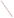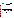### **THE ENVIRONMENTAL TECHNOLOGY VERIFICATION PROGRAM**







# **ETV Joint Verification Statement**

|                        | TECHNOLOGY TYPE: PORTABLE ANALYZER FOR DETECTION OF<br><b>HEAVY METAL IONS</b> |                                                 |
|------------------------|--------------------------------------------------------------------------------|-------------------------------------------------|
| <b>APPLICATION:</b>    | ANALYSIS OF ARSENIC IN WATER                                                   |                                                 |
|                        | <b>TECHNOLOGY NAME: PDV 6000 with VAS Version 2.1 Software</b>                 |                                                 |
| <b>COMPANY:</b>        | <b>Monitoring Technologies International, Pty. Ltd.</b>                        |                                                 |
| <b>ADDRESS:</b>        | 10 Main Street, Osborne Park<br>Perth, Western Australia 6017                  | PHONE: +618 9444 3377<br>$+61894442877$<br>FAX: |
| WEB SITE:<br>$E-MAIL:$ | http://www.monitoring-technologies.com<br>info@mti.com.au.                     |                                                 |

The U.S. Environmental Protection Agency (EPA) supports the Environmental Technology Verification (ETV) Program to facilitate the deployment of innovative or improved environmental technologies through performance verification and dissemination of information. The goal of the ETV Program is to further environmental protection by accelerating the acceptance and use of improved and cost-effective technologies. ETV seeks to achieve this goal by providing high-quality, peer-reviewed data on technology performance to those involved in the design, distribution, financing, permitting, purchase, and use of environmental technologies.

ETV works in partnership with recognized standards and testing organizations; with stakeholder groups that consist of buyers, vendor organizations, and permitters; and with the full participation of individual technology developers. The program evaluates the performance of innovative technologies by developing test plans that are responsive to the needs of stakeholders, conducting field or laboratory tests (as appropriate), collecting and analyzing data, and preparing peer-reviewed reports. All evaluations are conducted in accordance with rigorous quality assurance (QA) protocols to ensure that data of known and adequate quality are generated and that the results are defensible.

The Advanced Monitoring Systems (AMS) Center, one of seven technology areas under ETV, is operated by Battelle in cooperation with EPA's National Exposure Research Laboratory. The AMS Center has recently evaluated the performance of portable analyzers for arsenic in water. This verification statement provides a summary of the test results for the Monitoring Technologies International Pty. Ltd. (MTI) PDV 6000 portable analyzer for measuring arsenic in water.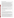### **VERIFICATION TEST DESCRIPTION**

The PDV 6000 is a portable analyzer designed for the on-site rapid analysis of heavy metal ions. For this test, the PDV 6000 and VAS Version 2.1 software were used to measure arsenic in water. The PDV 6000 was verified in terms of its performance on the following parameters: accuracy, precision, linearity, method detection limit (MDL), matrix interference effects, inter-unit reproducibility, and rate of false positives/false negatives. All preparation and analyses were performed according to the vendor's recommended procedures. Results from the PDV 6000 were compared to those from the reference method to assess accuracy, linearity, and detection limit. Multiple aliquots of performance test samples and environmental samples were analyzed to assess precision. Matrix interference effects were assessed by challenging the analyzer with performance test samples of known arsenic concentrations containing both low-level and high-level interferences. The test/QA plan specified that all analyses would be performed by a technical operator and a non-technical operator to evaluate operator bias; however, the operators were not able to successfully set up and operate the PDV 6000 using the materials and instructions provided by the vendor. Consequently, all samples were analyzed by an MTI representative and operator bias was not evaluated. All samples were analyzed using two PDV 6000 units to evaluate inter-unit reproducibility. False positives and negatives were evaluated relative to the 10-ppb maximum contaminant level for arsenic in drinking water. In addition to the analytical results, the time required for sample analysis and observations concerning the use of the test kit (e.g., frequency of calibration, ease of use, maintenance) were recorded.

Three types of samples were used in the verification test: quality control (QC) samples, performance test (PT) samples, and environmental water samples. The QC and PT samples were prepared from National Institute of Standards and Technology traceable purchased standards. The environmental water samples were collected from various drinking water and surface water sources. All samples were analyzed using the PDV 6000 and by a laboratory reference method.

QA oversight of verification testing was provided by Battelle. Battelle QA staff conducted a data quality audit of 10% of the test data, a performance evaluation audit, and a technical systems audit of the procedures used in this verification.

## **TECHNOLOGY DESCRIPTION**

The following description was provided by the vendor and does not represent verified information.

The PDV 6000 comprises a small analytical cell assembly and handheld controller used together as a portable tool for field screening for particular heavy metals. The PDV 6000 can be powered from a main power supply, a portable battery pack, or internal 9-vold batteries. When used in conjunction with VAS Version 2.1 software, a Windows application provided with the PDV 6000, the PDV 6000 is capable of more accurate metal ion analysis in the field as well as the laboratory. The performance of the PDV 6000 in conjunction with the VAS software was verified in this test.

The principal of analysis used by the PDV 6000 is anodic stripping voltammetry (ASV). A reducing potential is applied to the working electrode. When the electrode potential exceeds the ionization potential of the analyte metal ion in solution, it is reduced to the metal which plates onto the working electrode surface. The longer the potential is applied, the more metal is reduced and plated onto the electrode surface (also known as the "deposition" or "accumulation" step). When sufficient metal has been plated onto the working electrode, the metal is stripped (oxidized) off the electrode by increasing, at a constant rate, the potential applied to the working electrode. For a given electrolyte solution and electrode, each metal has a specific potential at which the oxidation reaction will occur. The electrons released by this process form a current, which is measured and may be plotted as a function of applied potential to give a "voltammogram." The current at the oxidation or stripping potential for the analyte metal is seen as a peak. To calculate the sample concentration, the peak height or area is measured and compared to that of a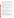known standard solution analyzed under the same conditions. The sample result is provided as a digital readout on the handheld controller, or if VAS software is being used, on the computer monitor screen. Sample results can be stored electronically using the VAS software. The vendor provides instructions for the analysis of water samples with arsenic concentrations ranging from five parts per billion (ppb) to 1,000 ppb.

#### **VERIFICATION OF PERFORMANCE**

**Accuracy:** The bias for the PDV 6000 ranged from ranged from -74% to 31%. Almost all biases were less than 25% except for the high- and low-level interferent samples, the Battelle drinking water laboratoryfortified matrix (LFM) sample, and the Ayer treated water LFM sample. The LFM sample results suggest that the Battelle drinking water and Ayer treated water samples had matrices that adversely affect the detection of arsenic by the PDV 6000.

**Precision:** Precision expressed as a relative standard deviation (RSD) ranged from 6% to 16% for unit #1 and from 3% to 15% for unit #2

Linearity: The linearity of response was evaluated by plotting the PDV 6000 results against the reference analysis results for the PT samples. PDV results were generally lower than the reference method results. The equation for the linear regressions that were performed to evaluate linearity are as follows, where *x* is the reference method concentration and *y* is the test kit concentration:

| Unit $#1$ | $y = 0.77x + 1.22$ , R = 0.9934 |
|-----------|---------------------------------|
| Unit $#2$ | $y = 0.91x + 0.59$ , R = 0.9955 |

**Method Detection Limit:** The MDLs calculated using precision data from seven replicates of a low-level spiked sample were 8.6 ppb for unit #1, and 5.8 ppb for unit #2.

**Matrix Interference Effects:** Low and high levels of interferents (iron and/or sulfide) adversely affected the detection of arsenic. Biases for these samples were higher than those calculated for PT samples containing arsenic only.

**Inter-Unit Reproducibility:** Unit #2 tended to return higher measurements than unit #1. A paired t-test indicated that the data for the two PDV 6000 units were significantly different at a 5% significance level; however, they were not significantly different if the 100 ppb arsenic PT samples were excluded from the analysis. The regression equation was as follows, where *x* is unit #1 and *y* unit #2:

PDV 6000  $y = 1.17x - 1.56$ , R = 0.9954

**Rate of False Positives/False Negatives:** None of the PDV 6000 results demonstrated a false positive. The false negative rates were 42% for unit #1 and 38% for unit #2.

**Other Factors:** Instructions in the operation manual were difficult to follow and required moving back and forth between operation manual chapters and the accompanying Application Note for analysis of arsenic in water. Some of the test sample peaks were manually adjusted to obtain the final arsenic concentration, and some professional judgment was required when selecting the appropriate standard to use for test sample quantification. All of these factors indicate that level of experience in the operation of the PDV 6000 analyzer and VAS software is likely to influence the reliability of the results.